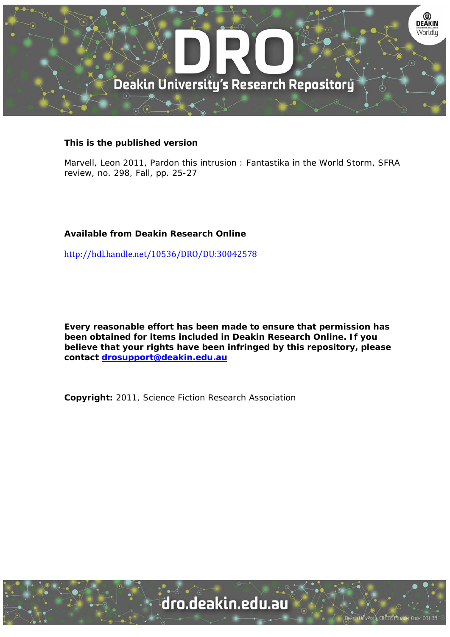

## **This is the published version**

Marvell, Leon 2011, Pardon this intrusion : Fantastika in the World Storm, SFRA review, no. 298, Fall, pp. 25-27

## **Available from Deakin Research Online**

http://hdl.handle.net/10536/DRO/DU:30042578

**Every reasonable effort has been made to ensure that permission has been obtained for items included in Deakin Research Online. If you believe that your rights have been infringed by this repository, please contact drosupport@deakin.edu.au** 

**Copyright:** 2011, Science Fiction Research Association

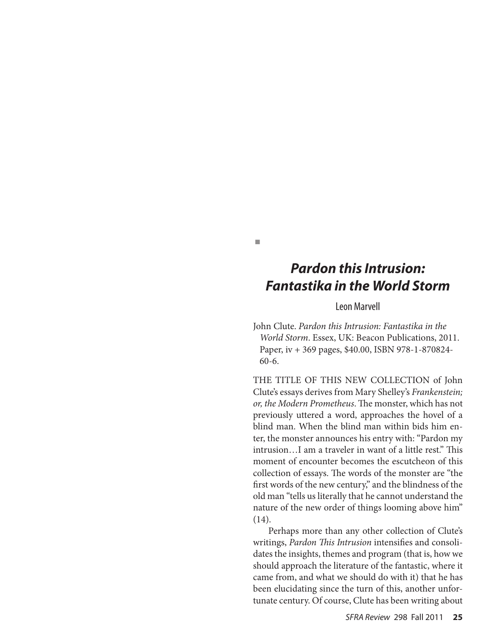## *Pardon this Intrusion: Fantastika in the World Storm*

n

## Leon Marvell

John Clute. *Pardon this Intrusion: Fantastika in the World Storm*. Essex, UK: Beacon Publications, 2011. Paper, iv + 369 pages, \$40.00, ISBN 978-1-870824- 60-6.

THE TITLE OF THIS NEW COLLECTION of John Clute's essays derives from Mary Shelley's *Frankenstein; or, the Modern Prometheus*. The monster, which has not previously uttered a word, approaches the hovel of a blind man. When the blind man within bids him enter, the monster announces his entry with: "Pardon my intrusion…I am a traveler in want of a little rest." This moment of encounter becomes the escutcheon of this collection of essays. The words of the monster are "the first words of the new century," and the blindness of the old man "tells us literally that he cannot understand the nature of the new order of things looming above him" (14).

 Perhaps more than any other collection of Clute's writings, *Pardon This Intrusion* intensifies and consolidates the insights, themes and program (that is, how we should approach the literature of the fantastic, where it came from, and what we should do with it) that he has been elucidating since the turn of this, another unfortunate century. Of course, Clute has been writing about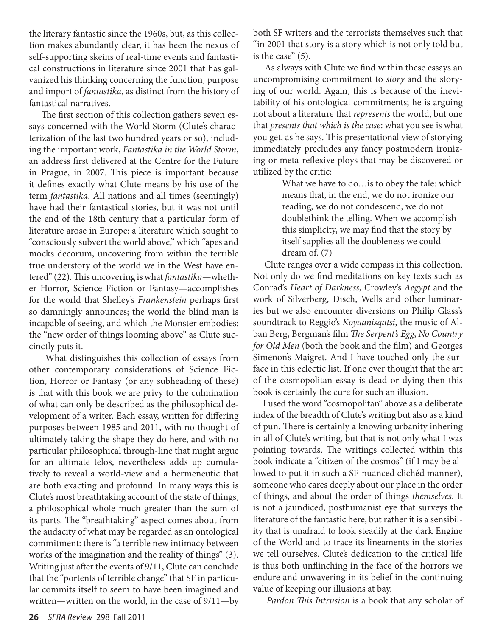the literary fantastic since the 1960s, but, as this collection makes abundantly clear, it has been the nexus of self-supporting skeins of real-time events and fantastical constructions in literature since 2001 that has galvanized his thinking concerning the function, purpose and import of *fantastika*, as distinct from the history of fantastical narratives.

 The first section of this collection gathers seven essays concerned with the World Storm (Clute's characterization of the last two hundred years or so), including the important work, *Fantastika in the World Storm*, an address first delivered at the Centre for the Future in Prague, in 2007. This piece is important because it defines exactly what Clute means by his use of the term *fantastika*. All nations and all times (seemingly) have had their fantastical stories, but it was not until the end of the 18th century that a particular form of literature arose in Europe: a literature which sought to "consciously subvert the world above," which "apes and mocks decorum, uncovering from within the terrible true understory of the world we in the West have entered" (22). This uncovering is what *fantastika*—whether Horror, Science Fiction or Fantasy—accomplishes for the world that Shelley's *Frankenstein* perhaps first so damningly announces; the world the blind man is incapable of seeing, and which the Monster embodies: the "new order of things looming above" as Clute succinctly puts it.

 What distinguishes this collection of essays from other contemporary considerations of Science Fiction, Horror or Fantasy (or any subheading of these) is that with this book we are privy to the culmination of what can only be described as the philosophical development of a writer. Each essay, written for differing purposes between 1985 and 2011, with no thought of ultimately taking the shape they do here, and with no particular philosophical through-line that might argue for an ultimate telos, nevertheless adds up cumulatively to reveal a world-view and a hermeneutic that are both exacting and profound. In many ways this is Clute's most breathtaking account of the state of things, a philosophical whole much greater than the sum of its parts. The "breathtaking" aspect comes about from the audacity of what may be regarded as an ontological commitment: there is "a terrible new intimacy between works of the imagination and the reality of things" (3). Writing just after the events of 9/11, Clute can conclude that the "portents of terrible change" that SF in particular commits itself to seem to have been imagined and written—written on the world, in the case of 9/11—by

both SF writers and the terrorists themselves such that "in 2001 that story is a story which is not only told but is the case" (5).

 As always with Clute we find within these essays an uncompromising commitment to *story* and the storying of our world. Again, this is because of the inevitability of his ontological commitments; he is arguing not about a literature that *represents* the world, but one that *presents that which is the case*: what you see is what you get, as he says. This presentational view of storying immediately precludes any fancy postmodern ironizing or meta-reflexive ploys that may be discovered or utilized by the critic:

> What we have to do…is to obey the tale: which means that, in the end, we do not ironize our reading, we do not condescend, we do not doublethink the telling. When we accomplish this simplicity, we may find that the story by itself supplies all the doubleness we could dream of. (7)

 Clute ranges over a wide compass in this collection. Not only do we find meditations on key texts such as Conrad's *Heart of Darkness*, Crowley's *Aegypt* and the work of Silverberg, Disch, Wells and other luminaries but we also encounter diversions on Philip Glass's soundtrack to Reggio's *Koyaanisqatsi*, the music of Alban Berg, Bergman's film *The Serpent's Egg*, *No Country for Old Men* (both the book and the film) and Georges Simenon's Maigret. And I have touched only the surface in this eclectic list. If one ever thought that the art of the cosmopolitan essay is dead or dying then this book is certainly the cure for such an illusion.

 I used the word "cosmopolitan" above as a deliberate index of the breadth of Clute's writing but also as a kind of pun. There is certainly a knowing urbanity inhering in all of Clute's writing, but that is not only what I was pointing towards. The writings collected within this book indicate a "citizen of the cosmos" (if I may be allowed to put it in such a SF-nuanced clichéd manner), someone who cares deeply about our place in the order of things, and about the order of things *themselves*. It is not a jaundiced, posthumanist eye that surveys the literature of the fantastic here, but rather it is a sensibility that is unafraid to look steadily at the dark Engine of the World and to trace its lineaments in the stories we tell ourselves. Clute's dedication to the critical life is thus both unflinching in the face of the horrors we endure and unwavering in its belief in the continuing value of keeping our illusions at bay.

*Pardon This Intrusion* is a book that any scholar of